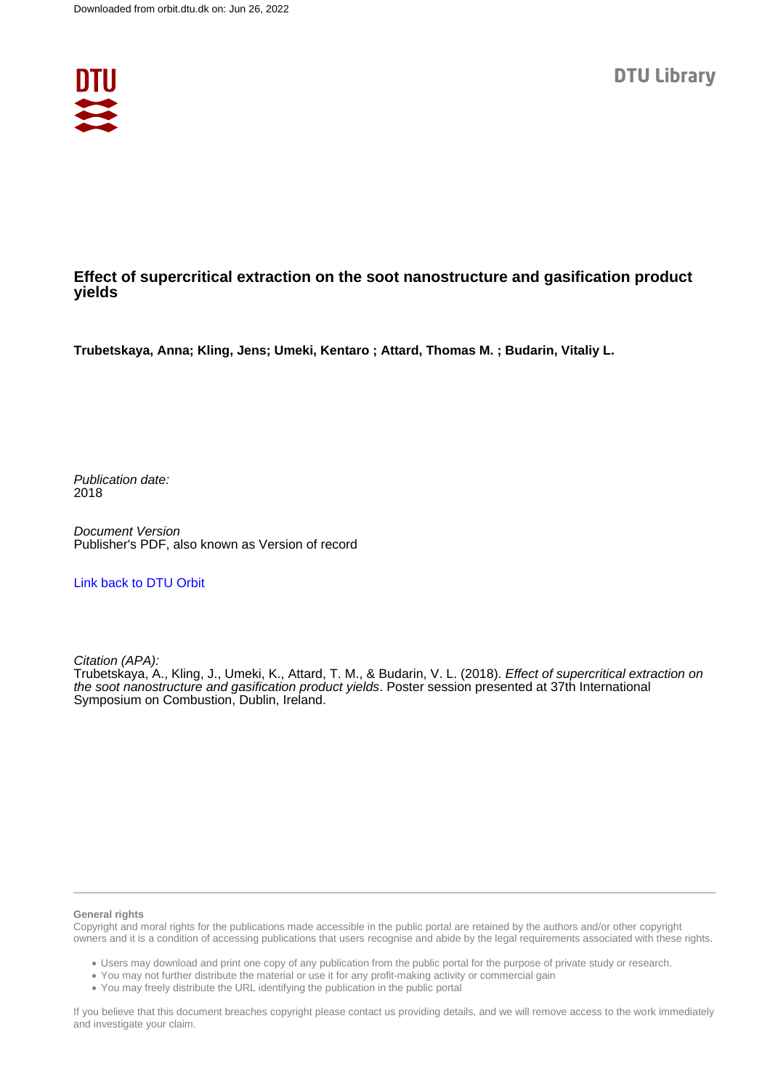

### **Effect of supercritical extraction on the soot nanostructure and gasification product yields**

**Trubetskaya, Anna; Kling, Jens; Umeki, Kentaro ; Attard, Thomas M. ; Budarin, Vitaliy L.**

Publication date: 2018

Document Version Publisher's PDF, also known as Version of record

### [Link back to DTU Orbit](https://orbit.dtu.dk/en/publications/9a588ff6-e2d8-47cd-bf87-194c587fe561)

Citation (APA):

Trubetskaya, A., Kling, J., Umeki, K., Attard, T. M., & Budarin, V. L. (2018). Effect of supercritical extraction on the soot nanostructure and gasification product yields. Poster session presented at 37th International Symposium on Combustion, Dublin, Ireland.

### **General rights**

Copyright and moral rights for the publications made accessible in the public portal are retained by the authors and/or other copyright owners and it is a condition of accessing publications that users recognise and abide by the legal requirements associated with these rights.

Users may download and print one copy of any publication from the public portal for the purpose of private study or research.

- You may not further distribute the material or use it for any profit-making activity or commercial gain
- You may freely distribute the URL identifying the publication in the public portal

If you believe that this document breaches copyright please contact us providing details, and we will remove access to the work immediately and investigate your claim.